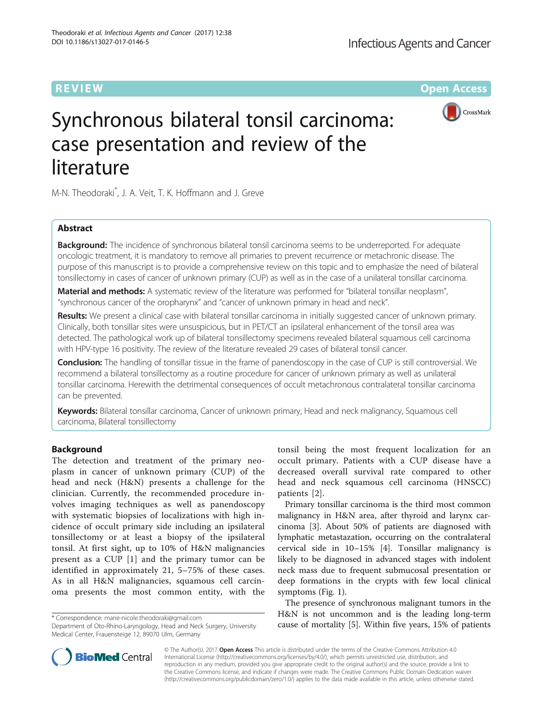**REVIEW REVIEW CONSTRUCTION** 



# Synchronous bilateral tonsil carcinoma: case presentation and review of the literature

M-N. Theodoraki\* , J. A. Veit, T. K. Hoffmann and J. Greve

# Abstract

**Background:** The incidence of synchronous bilateral tonsil carcinoma seems to be underreported. For adequate oncologic treatment, it is mandatory to remove all primaries to prevent recurrence or metachronic disease. The purpose of this manuscript is to provide a comprehensive review on this topic and to emphasize the need of bilateral tonsillectomy in cases of cancer of unknown primary (CUP) as well as in the case of a unilateral tonsillar carcinoma.

Material and methods: A systematic review of the literature was performed for "bilateral tonsillar neoplasm", "synchronous cancer of the oropharynx" and "cancer of unknown primary in head and neck".

Results: We present a clinical case with bilateral tonsillar carcinoma in initially suggested cancer of unknown primary. Clinically, both tonsillar sites were unsuspicious, but in PET/CT an ipsilateral enhancement of the tonsil area was detected. The pathological work up of bilateral tonsillectomy specimens revealed bilateral squamous cell carcinoma with HPV-type 16 positivity. The review of the literature revealed 29 cases of bilateral tonsil cancer.

Conclusion: The handling of tonsillar tissue in the frame of panendoscopy in the case of CUP is still controversial. We recommend a bilateral tonsillectomy as a routine procedure for cancer of unknown primary as well as unilateral tonsillar carcinoma. Herewith the detrimental consequences of occult metachronous contralateral tonsillar carcinoma can be prevented.

Keywords: Bilateral tonsillar carcinoma, Cancer of unknown primary, Head and neck malignancy, Squamous cell carcinoma, Bilateral tonsillectomy

# Background

The detection and treatment of the primary neoplasm in cancer of unknown primary (CUP) of the head and neck (H&N) presents a challenge for the clinician. Currently, the recommended procedure involves imaging techniques as well as panendoscopy with systematic biopsies of localizations with high incidence of occult primary side including an ipsilateral tonsillectomy or at least a biopsy of the ipsilateral tonsil. At first sight, up to 10% of H&N malignancies present as a CUP [\[1](#page-5-0)] and the primary tumor can be identified in approximately 21, 5–75% of these cases. As in all H&N malignancies, squamous cell carcinoma presents the most common entity, with the

tonsil being the most frequent localization for an occult primary. Patients with a CUP disease have a decreased overall survival rate compared to other head and neck squamous cell carcinoma (HNSCC) patients [\[2](#page-5-0)].

Primary tonsillar carcinoma is the third most common malignancy in H&N area, after thyroid and larynx carcinoma [[3](#page-5-0)]. About 50% of patients are diagnosed with lymphatic metastazation, occurring on the contralateral cervical side in 10–15% [\[4](#page-5-0)]. Tonsillar malignancy is likely to be diagnosed in advanced stages with indolent neck mass due to frequent submucosal presentation or deep formations in the crypts with few local clinical symptoms (Fig. [1](#page-1-0)).

The presence of synchronous malignant tumors in the H&N is not uncommon and is the leading long-term correspondence: marie-nicole.theodoraki@gmail.com and the state of mortality [\[5](#page-5-0)]. Within five years, 15% of patients \* Correspondence: [marie-nicole.theodoraki@gmail.com](mailto:marie-nicole.theodoraki@gmail.com) sure states \* Correspondence: marie-nicole.theodoraki



© The Author(s). 2017 **Open Access** This article is distributed under the terms of the Creative Commons Attribution 4.0 International License [\(http://creativecommons.org/licenses/by/4.0/](http://creativecommons.org/licenses/by/4.0/)), which permits unrestricted use, distribution, and reproduction in any medium, provided you give appropriate credit to the original author(s) and the source, provide a link to the Creative Commons license, and indicate if changes were made. The Creative Commons Public Domain Dedication waiver [\(http://creativecommons.org/publicdomain/zero/1.0/](http://creativecommons.org/publicdomain/zero/1.0/)) applies to the data made available in this article, unless otherwise stated.

Department of Oto-Rhino-Laryngology, Head and Neck Surgery, University Medical Center, Frauensteige 12, 89070 Ulm, Germany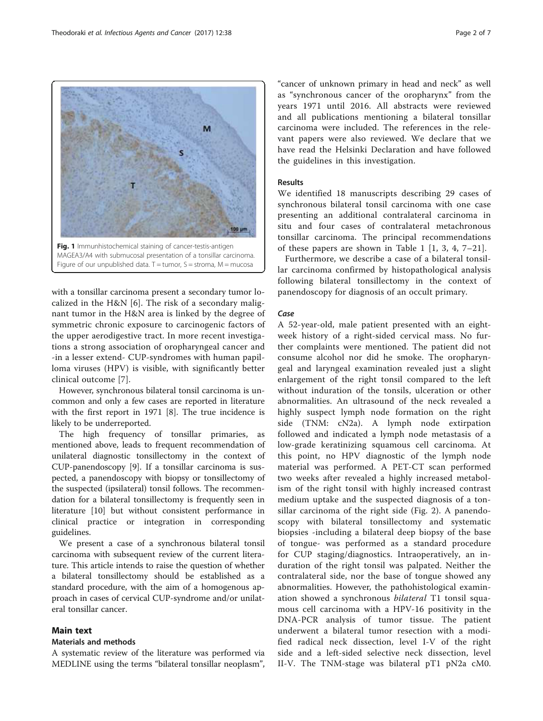<span id="page-1-0"></span>

with a tonsillar carcinoma present a secondary tumor localized in the H&N [\[6](#page-5-0)]. The risk of a secondary malignant tumor in the H&N area is linked by the degree of symmetric chronic exposure to carcinogenic factors of the upper aerodigestive tract. In more recent investigations a strong association of oropharyngeal cancer and -in a lesser extend- CUP-syndromes with human papilloma viruses (HPV) is visible, with significantly better clinical outcome [[7\]](#page-5-0).

However, synchronous bilateral tonsil carcinoma is uncommon and only a few cases are reported in literature with the first report in 1971 [\[8](#page-5-0)]. The true incidence is likely to be underreported.

The high frequency of tonsillar primaries, as mentioned above, leads to frequent recommendation of unilateral diagnostic tonsillectomy in the context of CUP-panendoscopy [\[9](#page-5-0)]. If a tonsillar carcinoma is suspected, a panendoscopy with biopsy or tonsillectomy of the suspected (ipsilateral) tonsil follows. The recommendation for a bilateral tonsillectomy is frequently seen in literature [[10\]](#page-5-0) but without consistent performance in clinical practice or integration in corresponding guidelines.

We present a case of a synchronous bilateral tonsil carcinoma with subsequent review of the current literature. This article intends to raise the question of whether a bilateral tonsillectomy should be established as a standard procedure, with the aim of a homogenous approach in cases of cervical CUP-syndrome and/or unilateral tonsillar cancer.

# Main text

## Materials and methods

A systematic review of the literature was performed via MEDLINE using the terms "bilateral tonsillar neoplasm",

"cancer of unknown primary in head and neck" as well as "synchronous cancer of the oropharynx" from the years 1971 until 2016. All abstracts were reviewed and all publications mentioning a bilateral tonsillar carcinoma were included. The references in the relevant papers were also reviewed. We declare that we have read the Helsinki Declaration and have followed the guidelines in this investigation.

# Results

We identified 18 manuscripts describing 29 cases of synchronous bilateral tonsil carcinoma with one case presenting an additional contralateral carcinoma in situ and four cases of contralateral metachronous tonsillar carcinoma. The principal recommendations of these papers are shown in Table [1](#page-2-0)  $[1, 3, 4, 7-21]$  $[1, 3, 4, 7-21]$  $[1, 3, 4, 7-21]$  $[1, 3, 4, 7-21]$  $[1, 3, 4, 7-21]$  $[1, 3, 4, 7-21]$  $[1, 3, 4, 7-21]$  $[1, 3, 4, 7-21]$ .

Furthermore, we describe a case of a bilateral tonsillar carcinoma confirmed by histopathological analysis following bilateral tonsillectomy in the context of panendoscopy for diagnosis of an occult primary.

## Case

A 52-year-old, male patient presented with an eightweek history of a right-sided cervical mass. No further complaints were mentioned. The patient did not consume alcohol nor did he smoke. The oropharyngeal and laryngeal examination revealed just a slight enlargement of the right tonsil compared to the left without induration of the tonsils, ulceration or other abnormalities. An ultrasound of the neck revealed a highly suspect lymph node formation on the right side (TNM: cN2a). A lymph node extirpation followed and indicated a lymph node metastasis of a low-grade keratinizing squamous cell carcinoma. At this point, no HPV diagnostic of the lymph node material was performed. A PET-CT scan performed two weeks after revealed a highly increased metabolism of the right tonsil with highly increased contrast medium uptake and the suspected diagnosis of a tonsillar carcinoma of the right side (Fig. [2](#page-3-0)). A panendoscopy with bilateral tonsillectomy and systematic biopsies -including a bilateral deep biopsy of the base of tongue- was performed as a standard procedure for CUP staging/diagnostics. Intraoperatively, an induration of the right tonsil was palpated. Neither the contralateral side, nor the base of tongue showed any abnormalities. However, the pathohistological examination showed a synchronous bilateral T1 tonsil squamous cell carcinoma with a HPV-16 positivity in the DNA-PCR analysis of tumor tissue. The patient underwent a bilateral tumor resection with a modified radical neck dissection, level I-V of the right side and a left-sided selective neck dissection, level II-V. The TNM-stage was bilateral pT1 pN2a cM0.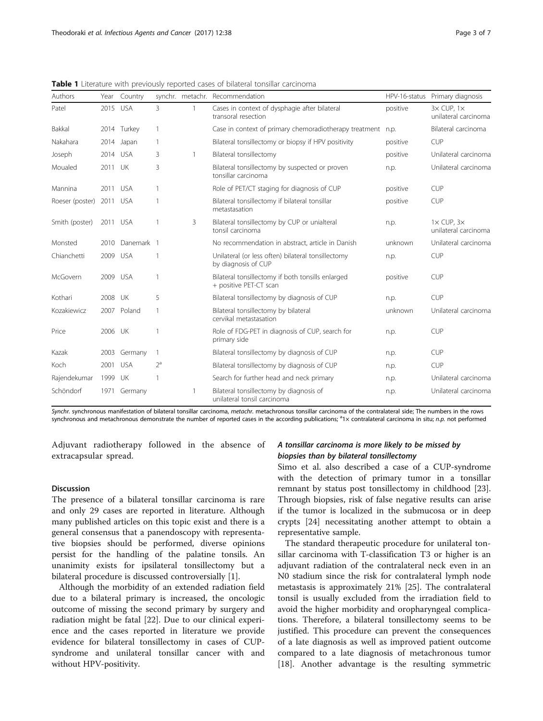| Authors         | Year     | Country      |       |              | synchr. metachr. Recommendation                                             | HPV-16-status | Primary diagnosis                                |
|-----------------|----------|--------------|-------|--------------|-----------------------------------------------------------------------------|---------------|--------------------------------------------------|
| Patel           | 2015 USA |              | 3     |              | Cases in context of dysphagie after bilateral<br>transoral resection        | positive      | $3x$ CUP, $1x$<br>unilateral carcinoma           |
| Bakkal          |          | 2014 Turkey  | 1     |              | Case in context of primary chemoradiotherapy treatment                      | n.p.          | Bilateral carcinoma                              |
| Nakahara        |          | 2014 Japan   | 1     |              | Bilateral tonsillectomy or biopsy if HPV positivity                         | positive      | CUP                                              |
| Joseph          | 2014 USA |              | 3     | 1            | Bilateral tonsillectomy                                                     | positive      | Unilateral carcinoma                             |
| Moualed         | 2011     | UK           | 3     |              | Bilateral tonsillectomy by suspected or proven<br>tonsillar carcinoma       | n.p.          | Unilateral carcinoma                             |
| Mannina         | 2011 USA |              |       |              | Role of PET/CT staging for diagnosis of CUP                                 | positive      | <b>CUP</b>                                       |
| Roeser (poster) | 2011 USA |              | 1     |              | Bilateral tonsillectomy if bilateral tonsillar<br>metastasation             | positive      | CUP                                              |
| Smith (poster)  | 2011 USA |              |       | 3            | Bilateral tonsillectomy by CUP or unialteral<br>tonsil carcinoma            | n.p.          | $1\times$ CUP, $3\times$<br>unilateral carcinoma |
| Monsted         | 2010     | Danemark 1   |       |              | No recommendation in abstract, article in Danish                            | unknown       | Unilateral carcinoma                             |
| Chianchetti     | 2009 USA |              |       |              | Unilateral (or less often) bilateral tonsillectomy<br>by diagnosis of CUP   | n.p.          | CUP                                              |
| McGovern        | 2009 USA |              | 1     |              | Bilateral tonsillectomy if both tonsills enlarged<br>+ positive PET-CT scan | positive      | CUP                                              |
| Kothari         | 2008 UK  |              | 5     |              | Bilateral tonsillectomy by diagnosis of CUP                                 | n.p.          | CUP                                              |
| Kozakiewicz     |          | 2007 Poland  | 1     |              | Bilateral tonsillectomy by bilateral<br>cervikal metastasation              | unknown       | Unilateral carcinoma                             |
| Price           | 2006 UK  |              |       |              | Role of FDG-PET in diagnosis of CUP, search for<br>primary side             | n.p.          | CUP                                              |
| Kazak           |          | 2003 Germany | -1    |              | Bilateral tonsillectomy by diagnosis of CUP                                 | n.p.          | CUP                                              |
| Koch            | 2001     | <b>USA</b>   | $2^a$ |              | Bilateral tonsillectomy by diagnosis of CUP                                 | n.p.          | CUP                                              |
| Rajendekumar    | 1999     | l JK         | 1     |              | Search for further head and neck primary                                    | n.p.          | Unilateral carcinoma                             |
| Schöndorf       | 1971     | Germany      |       | $\mathbf{1}$ | Bilateral tonsillectomy by diagnosis of<br>unilateral tonsil carcinoma      | n.p.          | Unilateral carcinoma                             |

<span id="page-2-0"></span>Table 1 Literature with previously reported cases of bilateral tonsillar carcinoma

Synchr. synchronous manifestation of bilateral tonsillar carcinoma, metachr. metachronous tonsillar carcinoma of the contralateral side; The numbers in the rows synchronous and metachronous demonstrate the number of reported cases in the according publications; <sup>a</sup>1× contralateral carcinoma in situ; n.p. not performed

Adjuvant radiotherapy followed in the absence of extracapsular spread.

# Discussion

The presence of a bilateral tonsillar carcinoma is rare and only 29 cases are reported in literature. Although many published articles on this topic exist and there is a general consensus that a panendoscopy with representative biopsies should be performed, diverse opinions persist for the handling of the palatine tonsils. An unanimity exists for ipsilateral tonsillectomy but a bilateral procedure is discussed controversially [\[1](#page-5-0)].

Although the morbidity of an extended radiation field due to a bilateral primary is increased, the oncologic outcome of missing the second primary by surgery and radiation might be fatal [\[22\]](#page-5-0). Due to our clinical experience and the cases reported in literature we provide evidence for bilateral tonsillectomy in cases of CUPsyndrome and unilateral tonsillar cancer with and without HPV-positivity.

# A tonsillar carcinoma is more likely to be missed by biopsies than by bilateral tonsillectomy

Simo et al. also described a case of a CUP-syndrome with the detection of primary tumor in a tonsillar remnant by status post tonsillectomy in childhood [\[23](#page-5-0)]. Through biopsies, risk of false negative results can arise if the tumor is localized in the submucosa or in deep crypts [\[24](#page-5-0)] necessitating another attempt to obtain a representative sample.

The standard therapeutic procedure for unilateral tonsillar carcinoma with T-classification T3 or higher is an adjuvant radiation of the contralateral neck even in an N0 stadium since the risk for contralateral lymph node metastasis is approximately 21% [\[25](#page-5-0)]. The contralateral tonsil is usually excluded from the irradiation field to avoid the higher morbidity and oropharyngeal complications. Therefore, a bilateral tonsillectomy seems to be justified. This procedure can prevent the consequences of a late diagnosis as well as improved patient outcome compared to a late diagnosis of metachronous tumor [[18\]](#page-5-0). Another advantage is the resulting symmetric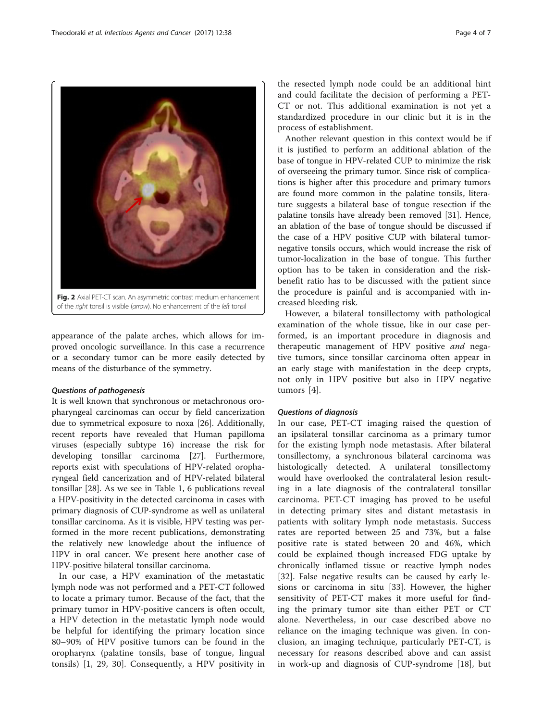<span id="page-3-0"></span>

appearance of the palate arches, which allows for improved oncologic surveillance. In this case a recurrence or a secondary tumor can be more easily detected by means of the disturbance of the symmetry.

#### Questions of pathogenesis

It is well known that synchronous or metachronous oropharyngeal carcinomas can occur by field cancerization due to symmetrical exposure to noxa [\[26](#page-5-0)]. Additionally, recent reports have revealed that Human papilloma viruses (especially subtype 16) increase the risk for developing tonsillar carcinoma [[27\]](#page-5-0). Furthermore, reports exist with speculations of HPV-related oropharyngeal field cancerization and of HPV-related bilateral tonsillar [\[28](#page-5-0)]. As we see in Table [1](#page-2-0), 6 publications reveal a HPV-positivity in the detected carcinoma in cases with primary diagnosis of CUP-syndrome as well as unilateral tonsillar carcinoma. As it is visible, HPV testing was performed in the more recent publications, demonstrating the relatively new knowledge about the influence of HPV in oral cancer. We present here another case of HPV-positive bilateral tonsillar carcinoma.

In our case, a HPV examination of the metastatic lymph node was not performed and a PET-CT followed to locate a primary tumor. Because of the fact, that the primary tumor in HPV-positive cancers is often occult, a HPV detection in the metastatic lymph node would be helpful for identifying the primary location since 80–90% of HPV positive tumors can be found in the oropharynx (palatine tonsils, base of tongue, lingual tonsils) [[1, 29](#page-5-0), [30](#page-5-0)]. Consequently, a HPV positivity in

the resected lymph node could be an additional hint and could facilitate the decision of performing a PET-CT or not. This additional examination is not yet a standardized procedure in our clinic but it is in the process of establishment.

Another relevant question in this context would be if it is justified to perform an additional ablation of the base of tongue in HPV-related CUP to minimize the risk of overseeing the primary tumor. Since risk of complications is higher after this procedure and primary tumors are found more common in the palatine tonsils, literature suggests a bilateral base of tongue resection if the palatine tonsils have already been removed [\[31](#page-5-0)]. Hence, an ablation of the base of tongue should be discussed if the case of a HPV positive CUP with bilateral tumornegative tonsils occurs, which would increase the risk of tumor-localization in the base of tongue. This further option has to be taken in consideration and the riskbenefit ratio has to be discussed with the patient since the procedure is painful and is accompanied with increased bleeding risk.

However, a bilateral tonsillectomy with pathological examination of the whole tissue, like in our case performed, is an important procedure in diagnosis and therapeutic management of HPV positive and negative tumors, since tonsillar carcinoma often appear in an early stage with manifestation in the deep crypts, not only in HPV positive but also in HPV negative tumors [[4\]](#page-5-0).

# Questions of diagnosis

In our case, PET-CT imaging raised the question of an ipsilateral tonsillar carcinoma as a primary tumor for the existing lymph node metastasis. After bilateral tonsillectomy, a synchronous bilateral carcinoma was histologically detected. A unilateral tonsillectomy would have overlooked the contralateral lesion resulting in a late diagnosis of the contralateral tonsillar carcinoma. PET-CT imaging has proved to be useful in detecting primary sites and distant metastasis in patients with solitary lymph node metastasis. Success rates are reported between 25 and 73%, but a false positive rate is stated between 20 and 46%, which could be explained though increased FDG uptake by chronically inflamed tissue or reactive lymph nodes [[32\]](#page-6-0). False negative results can be caused by early lesions or carcinoma in situ [[33\]](#page-6-0). However, the higher sensitivity of PET-CT makes it more useful for finding the primary tumor site than either PET or CT alone. Nevertheless, in our case described above no reliance on the imaging technique was given. In conclusion, an imaging technique, particularly PET-CT, is necessary for reasons described above and can assist in work-up and diagnosis of CUP-syndrome [[18\]](#page-5-0), but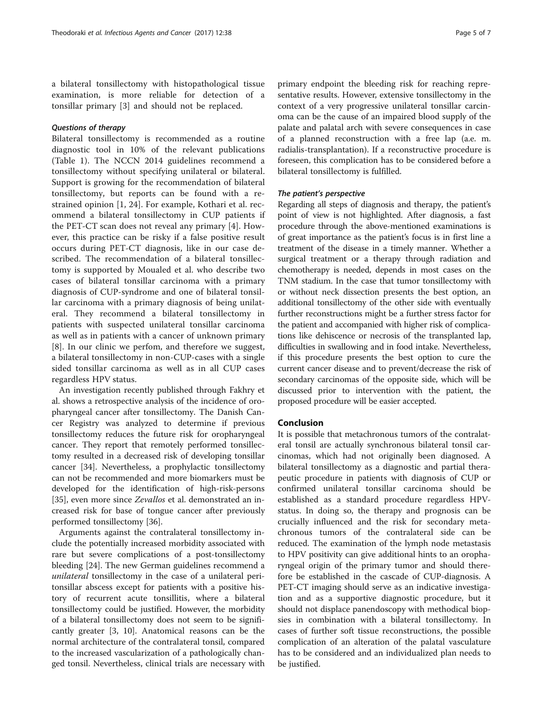a bilateral tonsillectomy with histopathological tissue examination, is more reliable for detection of a tonsillar primary [[3\]](#page-5-0) and should not be replaced.

# Questions of therapy

Bilateral tonsillectomy is recommended as a routine diagnostic tool in 10% of the relevant publications (Table [1\)](#page-2-0). The NCCN 2014 guidelines recommend a tonsillectomy without specifying unilateral or bilateral. Support is growing for the recommendation of bilateral tonsillectomy, but reports can be found with a restrained opinion [\[1](#page-5-0), [24](#page-5-0)]. For example, Kothari et al. recommend a bilateral tonsillectomy in CUP patients if the PET-CT scan does not reveal any primary [[4\]](#page-5-0). However, this practice can be risky if a false positive result occurs during PET-CT diagnosis, like in our case described. The recommendation of a bilateral tonsillectomy is supported by Moualed et al. who describe two cases of bilateral tonsillar carcinoma with a primary diagnosis of CUP-syndrome and one of bilateral tonsillar carcinoma with a primary diagnosis of being unilateral. They recommend a bilateral tonsillectomy in patients with suspected unilateral tonsillar carcinoma as well as in patients with a cancer of unknown primary [[8\]](#page-5-0). In our clinic we perfom, and therefore we suggest, a bilateral tonsillectomy in non-CUP-cases with a single sided tonsillar carcinoma as well as in all CUP cases regardless HPV status.

An investigation recently published through Fakhry et al. shows a retrospective analysis of the incidence of oropharyngeal cancer after tonsillectomy. The Danish Cancer Registry was analyzed to determine if previous tonsillectomy reduces the future risk for oropharyngeal cancer. They report that remotely performed tonsillectomy resulted in a decreased risk of developing tonsillar cancer [[34](#page-6-0)]. Nevertheless, a prophylactic tonsillectomy can not be recommended and more biomarkers must be developed for the identification of high-risk-persons [[35\]](#page-6-0), even more since *Zevallos* et al. demonstrated an increased risk for base of tongue cancer after previously performed tonsillectomy [\[36](#page-6-0)].

Arguments against the contralateral tonsillectomy include the potentially increased morbidity associated with rare but severe complications of a post-tonsillectomy bleeding [\[24\]](#page-5-0). The new German guidelines recommend a unilateral tonsillectomy in the case of a unilateral peritonsillar abscess except for patients with a positive history of recurrent acute tonsillitis, where a bilateral tonsillectomy could be justified. However, the morbidity of a bilateral tonsillectomy does not seem to be significantly greater [[3, 10\]](#page-5-0). Anatomical reasons can be the normal architecture of the contralateral tonsil, compared to the increased vascularization of a pathologically changed tonsil. Nevertheless, clinical trials are necessary with

primary endpoint the bleeding risk for reaching representative results. However, extensive tonsillectomy in the context of a very progressive unilateral tonsillar carcinoma can be the cause of an impaired blood supply of the palate and palatal arch with severe consequences in case of a planned reconstruction with a free lap (a.e. m. radialis-transplantation). If a reconstructive procedure is foreseen, this complication has to be considered before a bilateral tonsillectomy is fulfilled.

## The patient's perspective

Regarding all steps of diagnosis and therapy, the patient's point of view is not highlighted. After diagnosis, a fast procedure through the above-mentioned examinations is of great importance as the patient's focus is in first line a treatment of the disease in a timely manner. Whether a surgical treatment or a therapy through radiation and chemotherapy is needed, depends in most cases on the TNM stadium. In the case that tumor tonsillectomy with or without neck dissection presents the best option, an additional tonsillectomy of the other side with eventually further reconstructions might be a further stress factor for the patient and accompanied with higher risk of complications like dehiscence or necrosis of the transplanted lap, difficulties in swallowing and in food intake. Nevertheless, if this procedure presents the best option to cure the current cancer disease and to prevent/decrease the risk of secondary carcinomas of the opposite side, which will be discussed prior to intervention with the patient, the proposed procedure will be easier accepted.

# Conclusion

It is possible that metachronous tumors of the contralateral tonsil are actually synchronous bilateral tonsil carcinomas, which had not originally been diagnosed. A bilateral tonsillectomy as a diagnostic and partial therapeutic procedure in patients with diagnosis of CUP or confirmed unilateral tonsillar carcinoma should be established as a standard procedure regardless HPVstatus. In doing so, the therapy and prognosis can be crucially influenced and the risk for secondary metachronous tumors of the contralateral side can be reduced. The examination of the lymph node metastasis to HPV positivity can give additional hints to an oropharyngeal origin of the primary tumor and should therefore be established in the cascade of CUP-diagnosis. A PET-CT imaging should serve as an indicative investigation and as a supportive diagnostic procedure, but it should not displace panendoscopy with methodical biopsies in combination with a bilateral tonsillectomy. In cases of further soft tissue reconstructions, the possible complication of an alteration of the palatal vasculature has to be considered and an individualized plan needs to be justified.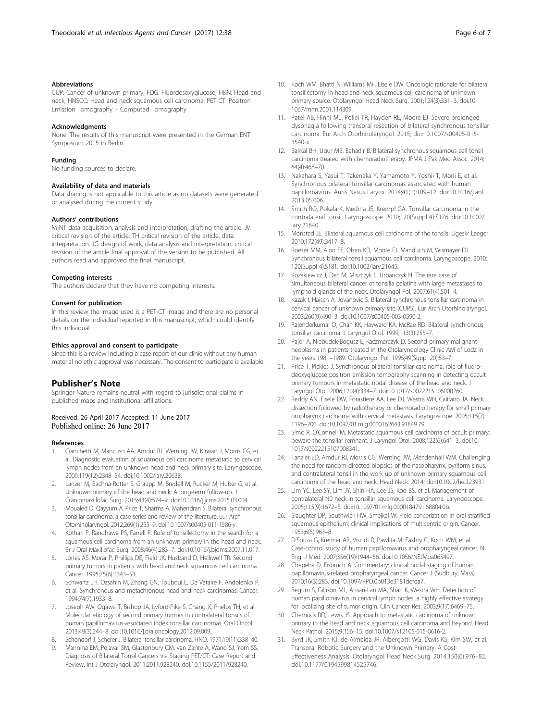#### <span id="page-5-0"></span>Abbreviations

CUP: Cancer of unknown primary; FDG: Fluordesoxyglucose; H&N: Head and neck; HNSCC: Head and neck squamous cell carcinoma; PET-CT: Positron Emission Tomography – Computed Tomography

#### Acknowledgments

None. The results of this manuscript were presented in the German ENT Symposium 2015 in Berlin.

#### Funding

No funding sources to declare.

#### Availability of data and materials

Data sharing is not applicable to this article as no datasets were generated or analysed during the current study.

#### Authors' contributions

M-NT data acquisition, analysis and interpretation, drafting the article. JV critical revision of the article. TH critical revision of the article, data interpretation. JG design of work, data analysis and interpretation, critical revision of the article final approval of the version to be published. All authors read and approved the final manuscript.

#### Competing interests

The authors declare that they have no competing interests.

#### Consent for publication

In this review the image used is a PET-CT image and there are no personal details on the individual reported in this manuscript, which could identify this individual.

#### Ethics approval and consent to participate

Since this is a review including a case report of our clinic without any human material no ethic approval was necessary. The consent to participate is available.

#### Publisher's Note

Springer Nature remains neutral with regard to jurisdictional claims in published maps and institutional affiliations.

## Received: 26 April 2017 Accepted: 11 June 2017 Published online: 26 June 2017

#### References

- 1. Cianchetti M, Mancuso AA, Amdur RJ, Werning JW, Kirwan J, Morris CG, et al. Diagnostic evaluation of squamous cell carcinoma metastatic to cervical lymph nodes from an unknown head and neck primary site. Laryngoscope. 2009;119(12):2348–54. doi[:10.1002/lary.20638](http://dx.doi.org/10.1002/lary.20638).
- 2. Lanzer M, Bachna-Rotter S, Graupp M, Bredell M, Rucker M, Huber G, et al. Unknown primary of the head and neck: A long-term follow-up. J Craniomaxillofac Surg. 2015;43(4):574–9. doi:[10.1016/j.jcms.2015.03.004.](http://dx.doi.org/10.1016/j.jcms.2015.03.004)
- 3. Moualed D, Qayyum A, Price T, Sharma A, Mahendran S. Bilateral synchronous tonsillar carcinoma: a case series and review of the literature. Eur Arch Otorhinolaryngol. 2012;269(1):255–9. doi:[10.1007/s00405-011-1586-y](http://dx.doi.org/10.1007/s00405-011-1586-y).
- 4. Kothari P, Randhawa PS, Farrell R. Role of tonsillectomy in the search for a squamous cell carcinoma from an unknown primary in the head and neck. Br J Oral Maxillofac Surg. 2008;46(4):283–7. doi[:10.1016/j.bjoms.2007.11.017.](http://dx.doi.org/10.1016/j.bjoms.2007.11.017)
- Jones AS, Morar P, Phillips DE, Field JK, Husband D, Helliwell TR. Second primary tumors in patients with head and neck squamous cell carcinoma. Cancer. 1995;75(6):1343–53.
- 6. Schwartz LH, Ozsahin M, Zhang GN, Touboul E, De Vataire F, Andolenko P, et al. Synchronous and metachronous head and neck carcinomas. Cancer. 1994;74(7):1933–8.
- 7. Joseph AW, Ogawa T, Bishop JA, Lyford-Pike S, Chang X, Phelps TH, et al. Molecular etiology of second primary tumors in contralateral tonsils of human papillomavirus-associated index tonsillar carcinomas. Oral Oncol. 2013;49(3):244–8. doi[:10.1016/j.oraloncology.2012.09.009.](http://dx.doi.org/10.1016/j.oraloncology.2012.09.009)
- 8. Schondorf J, Scherer J. Bilateral tonsillar carcinoma. HNO. 1971;19(11):338–40.
- 9. Mannina EM, Pejavar SM, Glastonbury CM, van Zante A, Wang SJ, Yom SS. Diagnosis of Bilateral Tonsil Cancers via Staging PET/CT: Case Report and Review. Int J Otolaryngol. 2011;2011:928240. doi:[10.1155/2011/928240.](http://dx.doi.org/10.1155/2011/928240)
- 10. Koch WM, Bhatti N, Williams MF, Eisele DW. Oncologic rationale for bilateral tonsillectomy in head and neck squamous cell carcinoma of unknown primary source. Otolaryngol Head Neck Surg. 2001;124(3):331–3. doi:[10.](http://dx.doi.org/10.1067/mhn.2001.114309) [1067/mhn.2001.114309.](http://dx.doi.org/10.1067/mhn.2001.114309)
- 11. Patel AB, Hinni ML, Pollei TR, Hayden RE, Moore EJ. Severe prolonged dysphagia following transoral resection of bilateral synchronous tonsillar carcinoma. Eur Arch Otorhinolaryngol. 2015; doi[:10.1007/s00405-015-](http://dx.doi.org/10.1007/s00405-015-3540-x) [3540-x](http://dx.doi.org/10.1007/s00405-015-3540-x).
- 12. Bakkal BH, Ugur MB, Bahadir B. Bilateral synchronous squamous cell tonsil carcinoma treated with chemoradiotherapy. JPMA J Pak Med Assoc. 2014; 64(4):468–70.
- 13. Nakahara S, Yasui T, Takenaka Y, Yamamoto Y, Yoshii T, Morii E, et al. Synchronous bilateral tonsillar carcinomas associated with human papillomavirus. Auris Nasus Larynx. 2014;41(1):109–12. doi[:10.1016/j.anl.](http://dx.doi.org/10.1016/j.anl.2013.05.006) [2013.05.006](http://dx.doi.org/10.1016/j.anl.2013.05.006).
- 14. Smith RO, Pokala K, Medina JE, Krempl GA. Tonsillar carcinoma in the contralateral tonsil. Laryngoscope. 2010;120(Suppl 4):S176. doi[:10.1002/](http://dx.doi.org/10.1002/lary.21640) [lary.21640](http://dx.doi.org/10.1002/lary.21640).
- 15. Monsted JE. Bilateral squamous cell carcinoma of the tonsils. Ugeskr Laeger. 2010;172(49):3417–8.
- 16. Roeser MM, Alon EE, Olsen KD, Moore EJ, Manduch M, Wismayer DJ. Synchronous bilateral tonsil squamous cell carcinoma. Laryngoscope. 2010; 120(Suppl 4):S181. doi:[10.1002/lary.21645.](http://dx.doi.org/10.1002/lary.21645)
- 17. Kozakiewicz J, Dec M, Miszczyk L, Urbanczyk H. The rare case of simultaneous bilateral cancer of tonsilla palatina with large metastases to lymphoid glands of the neck. Otolaryngol Pol. 2007;61(4):501–4.
- 18. Kazak I, Haisch A, Jovanovic S. Bilateral synchronous tonsillar carcinoma in cervical cancer of unknown primary site (CUPS). Eur Arch Otorhinolaryngol. 2003;260(9):490–3. doi:[10.1007/s00405-003-0590-2](http://dx.doi.org/10.1007/s00405-003-0590-2).
- 19. Rajenderkumar D, Chan KK, Hayward KA, McRae RD. Bilateral synchronous tonsillar carcinoma. J Laryngol Otol. 1999;113(3):255–7.
- 20. Pajor A, Niebudek-Bogusz E, Kaczmarczyk D. Second primary malignant neoplasms in patients treated in the Otolaryngology Clinic AM of Lodz in the years 1981–1989. Otolaryngol Pol. 1995;49(Suppl 20):53–7.
- 21. Price T, Pickles J. Synchronous bilateral tonsillar carcinoma: role of fluorodeoxyglucose positron emission tomography scanning in detecting occult primary tumours in metastatic nodal disease of the head and neck. J Laryngol Otol. 2006;120(4):334–7. doi[:10.1017/s0022215106000260](http://dx.doi.org/10.1017/s0022215106000260).
- 22. Reddy AN, Eisele DW, Forastiere AA, Lee DJ, Westra WH, Califano JA. Neck dissection followed by radiotherapy or chemoradiotherapy for small primary oropharynx carcinoma with cervical metastasis. Laryngoscope. 2005;115(7): 1196–200. doi:[10.1097/01.mlg.0000162643.91849.79.](http://dx.doi.org/10.1097/01.mlg.0000162643.91849.79)
- 23. Simo R, O'Connell M. Metastatic squamous cell carcinoma of occult primary: beware the tonsillar remnant. J Laryngol Otol. 2008;122(6):641–3. doi[:10.](http://dx.doi.org/10.1017/s0022215107008341) [1017/s0022215107008341](http://dx.doi.org/10.1017/s0022215107008341).
- 24. Tanzler ED, Amdur RJ, Morris CG, Werning JW, Mendenhall WM. Challenging the need for random directed biopsies of the nasopharynx, pyriform sinus, and contralateral tonsil in the work up of unknown primary squamous cell carcinoma of the head and neck. Head Neck. 2014; doi[:10.1002/hed.23931.](http://dx.doi.org/10.1002/hed.23931)
- 25. Lim YC, Lee SY, Lim JY, Shin HA, Lee JS, Koo BS, et al. Management of contralateral N0 neck in tonsillar squamous cell carcinoma. Laryngoscope. 2005;115(9):1672–5. doi[:10.1097/01.mlg.0000184791.68804.0b.](http://dx.doi.org/10.1097/01.mlg.0000184791.68804.0b)
- 26. Slaughter DP, Southwick HW, Smejkal W. Field cancerization in oral stratified squamous epithelium; clinical implications of multicentric origin. Cancer. 1953;6(5):963–8.
- 27. D'Souza G, Kreimer AR, Viscidi R, Pawlita M, Fakhry C, Koch WM, et al. Case-control study of human papillomavirus and oropharyngeal cancer. N Engl J Med. 2007;356(19):1944–56. doi[:10.1056/NEJMoa065497.](http://dx.doi.org/10.1056/NEJMoa065497)
- 28. Chepeha D, Eisbruch A. Commentary: clinical nodal staging of human papillomavirus-related oropharyngeal cancer. Cancer J (Sudbury, Mass). 2010;16(3):283. doi:[10.1097/PPO.0b013e3181defda7.](http://dx.doi.org/10.1097/PPO.0b013e3181defda7)
- 29. Begum S, Gillison ML, Ansari-Lari MA, Shah K, Westra WH. Detection of human papillomavirus in cervical lymph nodes: a highly effective strategy for localizing site of tumor origin. Clin Cancer Res. 2003;9(17):6469–75.
- 30. Chernock RD, Lewis JS. Approach to metastatic carcinoma of unknown primary in the head and neck: squamous cell carcinoma and beyond. Head Neck Pathol. 2015;9(1):6–15. doi[:10.1007/s12105-015-0616-2](http://dx.doi.org/10.1007/s12105-015-0616-2).
- 31. Byrd JK, Smith KJ, de Almeida JR, Albergotti WG, Davis KS, Kim SW, et al. Transoral Robotic Surgery and the Unknown Primary: A Cost-Effectiveness Analysis. Otolaryngol Head Neck Surg. 2014;150(6):976–82. doi:[10.1177/0194599814525746.](http://dx.doi.org/10.1177/0194599814525746)